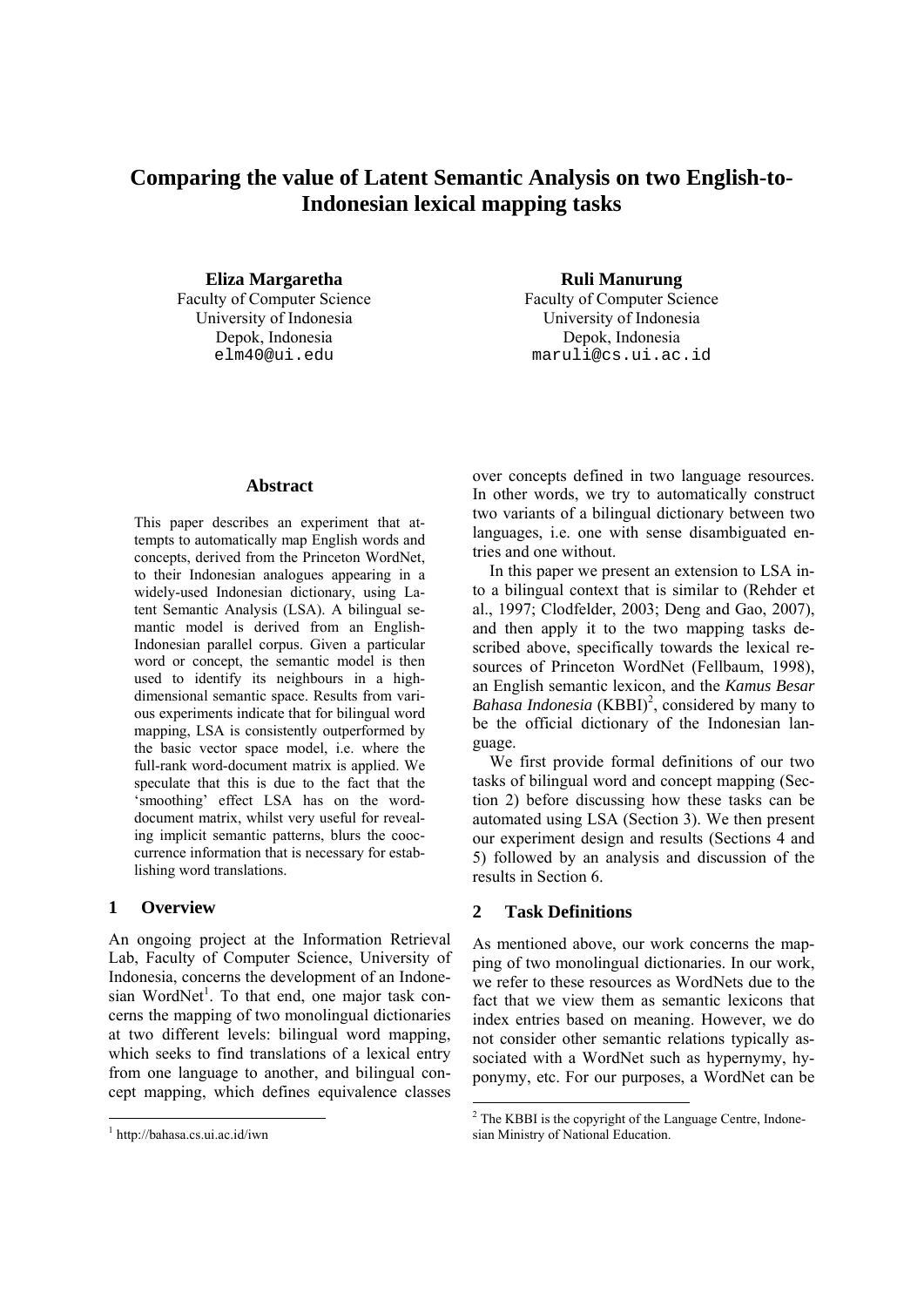# **Comparing the value of Latent Semantic Analysis on two English-to-Indonesian lexical mapping tasks**

**Eliza Margaretha Ruli Manurung** Faculty of Computer Science<br>
Faculty of Computer Science

University of Indonesia University of Indonesia Depok, Indonesia Depok, Indonesia elm40@ui.edu maruli@cs.ui.ac.id

#### **Abstract**

This paper describes an experiment that attempts to automatically map English words and concepts, derived from the Princeton WordNet, to their Indonesian analogues appearing in a widely-used Indonesian dictionary, using Latent Semantic Analysis (LSA). A bilingual semantic model is derived from an English-Indonesian parallel corpus. Given a particular word or concept, the semantic model is then used to identify its neighbours in a highdimensional semantic space. Results from various experiments indicate that for bilingual word mapping, LSA is consistently outperformed by the basic vector space model, i.e. where the full-rank word-document matrix is applied. We speculate that this is due to the fact that the 'smoothing' effect LSA has on the worddocument matrix, whilst very useful for revealing implicit semantic patterns, blurs the cooccurrence information that is necessary for establishing word translations.

# **1 Overview**

An ongoing project at the Information Retrieval Lab, Faculty of Computer Science, University of Indonesia, concerns the development of an Indonesian WordNet<sup>1</sup>. To that end, one major task concerns the mapping of two monolingual dictionaries at two different levels: bilingual word mapping, which seeks to find translations of a lexical entry from one language to another, and bilingual concept mapping, which defines equivalence classes

over concepts defined in two language resources. In other words, we try to automatically construct two variants of a bilingual dictionary between two languages, i.e. one with sense disambiguated entries and one without.

In this paper we present an extension to LSA into a bilingual context that is similar to (Rehder et al., 1997; Clodfelder, 2003; Deng and Gao, 2007), and then apply it to the two mapping tasks described above, specifically towards the lexical resources of Princeton WordNet (Fellbaum, 1998), an English semantic lexicon, and the *Kamus Besar*  Bahasa Indonesia (KBBI)<sup>2</sup>, considered by many to be the official dictionary of the Indonesian language.

We first provide formal definitions of our two tasks of bilingual word and concept mapping (Section 2) before discussing how these tasks can be automated using LSA (Section 3). We then present our experiment design and results (Sections 4 and 5) followed by an analysis and discussion of the results in Section 6.

# **2 Task Definitions**

As mentioned above, our work concerns the mapping of two monolingual dictionaries. In our work, we refer to these resources as WordNets due to the fact that we view them as semantic lexicons that index entries based on meaning. However, we do not consider other semantic relations typically associated with a WordNet such as hypernymy, hyponymy, etc. For our purposes, a WordNet can be

<sup>1</sup> http://bahasa.cs.ui.ac.id/iwn

<sup>&</sup>lt;sup>2</sup> The KBBI is the copyright of the Language Centre, Indonesian Ministry of National Education.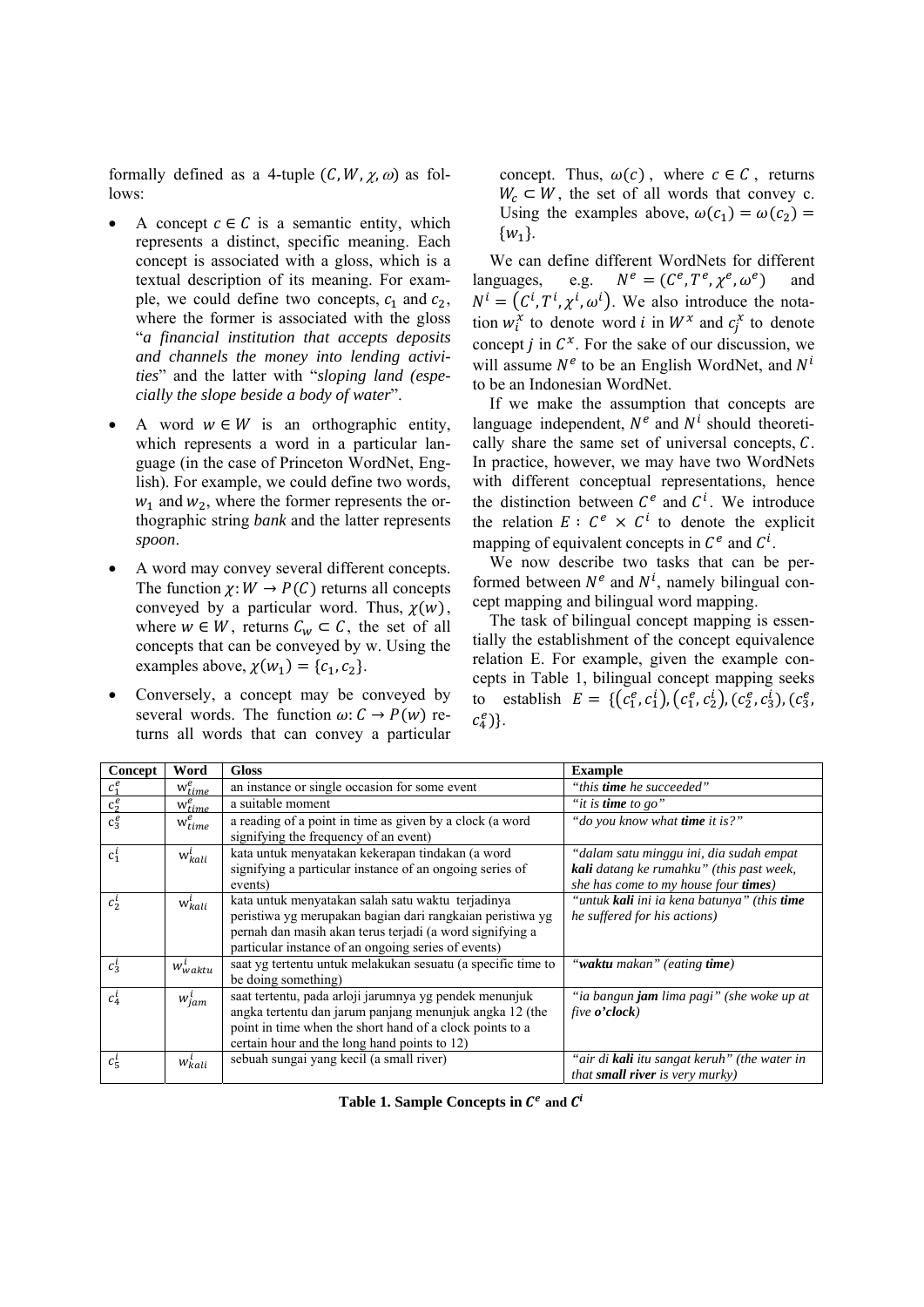formally defined as a 4-tuple  $(C, W, \chi, \omega)$  as follows:

- A concept  $c \in C$  is a semantic entity, which represents a distinct, specific meaning. Each concept is associated with a gloss, which is a textual description of its meaning. For example, we could define two concepts,  $c_1$  and  $c_2$ , where the former is associated with the gloss "*a financial institution that accepts deposits and channels the money into lending activities*" and the latter with "*sloping land (especially the slope beside a body of water*".
- A word  $w \in W$  is an orthographic entity, which represents a word in a particular language (in the case of Princeton WordNet, English). For example, we could define two words,  $w_1$  and  $w_2$ , where the former represents the orthographic string *bank* and the latter represents *spoon*.
- A word may convey several different concepts. The function  $\chi: W \to P(C)$  returns all concepts conveyed by a particular word. Thus,  $\chi(w)$ , where  $w \in W$ , returns  $C_w \subset C$ , the set of all concepts that can be conveyed by w. Using the examples above,  $\chi(w_1) = \{c_1, c_2\}$ .
- Conversely, a concept may be conveyed by several words. The function  $\omega: C \to P(w)$  returns all words that can convey a particular

concept. Thus,  $\omega(c)$ , where  $c \in \mathcal{C}$ , returns  $W_c \subset W$ , the set of all words that convey c. Using the examples above,  $\omega(c_1) = \omega(c_2) =$  $\{w_1\}$ .

We can define different WordNets for different languages, e.g.  $N^e = (C^e, T^e, \chi^e, \omega^e)$  and  $N^{i} = (C^{i}, T^{i}, \chi^{i}, \omega^{i})$ . We also introduce the notation  $w_i^x$  to denote word *i* in  $W^x$  and  $c_j^x$  to denote concept  $j$  in  $C^x$ . For the sake of our discussion, we will assume  $N^e$  to be an English WordNet, and  $N^i$ to be an Indonesian WordNet.

If we make the assumption that concepts are language independent,  $N^e$  and  $N^i$  should theoretically share the same set of universal concepts,  $C$ . In practice, however, we may have two WordNets with different conceptual representations, hence the distinction between  $C<sup>e</sup>$  and  $C<sup>i</sup>$ . We introduce the relation  $E: C^e \times C^i$  to denote the explicit mapping of equivalent concepts in  $\mathcal{C}^e$  and  $\mathcal{C}^i$ .

We now describe two tasks that can be performed between  $N^e$  and  $N^i$ , namely bilingual concept mapping and bilingual word mapping.

The task of bilingual concept mapping is essentially the establishment of the concept equivalence relation E. For example, given the example concepts in Table 1, bilingual concept mapping seeks to establish  $E = \{ (c_1^e, c_1^i), (c_1^e, c_2^i), (c_2^e, c_3^i), (c_3^e, c_4^i), (c_4^e, c_5^i), (c_5^e, c_6^i), (c_6^e, c_7^i), (c_7^e, c_8^i), (c_8^e, c_9^i), (c_9^e, c_9^i), (c_9^e, c_9^i), (c_9^e, c_9^i), (c_9^e, c_9^i), (c_9^e, c_9^i), (c_9^e, c_9^i), (c_9^e, c$  $c_4^e$ }.

| Concept            | Word                  | <b>Gloss</b>                                                                                                                                                                                                                      | <b>Example</b>                                                                                                                     |
|--------------------|-----------------------|-----------------------------------------------------------------------------------------------------------------------------------------------------------------------------------------------------------------------------------|------------------------------------------------------------------------------------------------------------------------------------|
| $c_1^e$            | $w_{time}^e$          | an instance or single occasion for some event                                                                                                                                                                                     | "this <b>time</b> he succeeded"                                                                                                    |
| $\overline{c_2^e}$ | $\bar{w_{time}^e}$    | a suitable moment                                                                                                                                                                                                                 | "it is time to go"                                                                                                                 |
| $c_3^e$            | $w_{time}^e$          | a reading of a point in time as given by a clock (a word<br>signifying the frequency of an event)                                                                                                                                 | "do you know what <b>time</b> it is?"                                                                                              |
| $c_1^i$            | $w_{kali}^i$          | kata untuk menyatakan kekerapan tindakan (a word<br>signifying a particular instance of an ongoing series of<br>events)                                                                                                           | "dalam satu minggu ini, dia sudah empat<br><b>kali</b> datang ke rumahku" (this past week,<br>she has come to my house four times) |
| $c_2^i$            | $\mathrm{w}_{kali}^l$ | kata untuk menyatakan salah satu waktu terjadinya<br>peristiwa yg merupakan bagian dari rangkaian peristiwa yg<br>pernah dan masih akan terus terjadi (a word signifying a<br>particular instance of an ongoing series of events) | "untuk kali ini ia kena batunya" (this time<br>he suffered for his actions)                                                        |
| $c_3^i$            | $w_{\text{waktu}}^i$  | saat yg tertentu untuk melakukan sesuatu (a specific time to<br>be doing something)                                                                                                                                               | "waktu makan" (eating time)                                                                                                        |
| $c_4^i$            | $w_{jam}^i$           | saat tertentu, pada arloji jarumnya yg pendek menunjuk<br>angka tertentu dan jarum panjang menunjuk angka 12 (the<br>point in time when the short hand of a clock points to a<br>certain hour and the long hand points to 12)     | "ia bangun <b>jam</b> lima pagi" (she woke up at<br>five $o$ 'clock)                                                               |
| $c_5^i$            | $w_{kali}^i$          | sebuah sungai yang kecil (a small river)                                                                                                                                                                                          | "air di <b>kali</b> itu sangat keruh" (the water in<br><i>that small river is very murky</i> )                                     |

**Table 1. Sample Concepts in**  $\mathcal{C}^e$  **and**  $\mathcal{C}^i$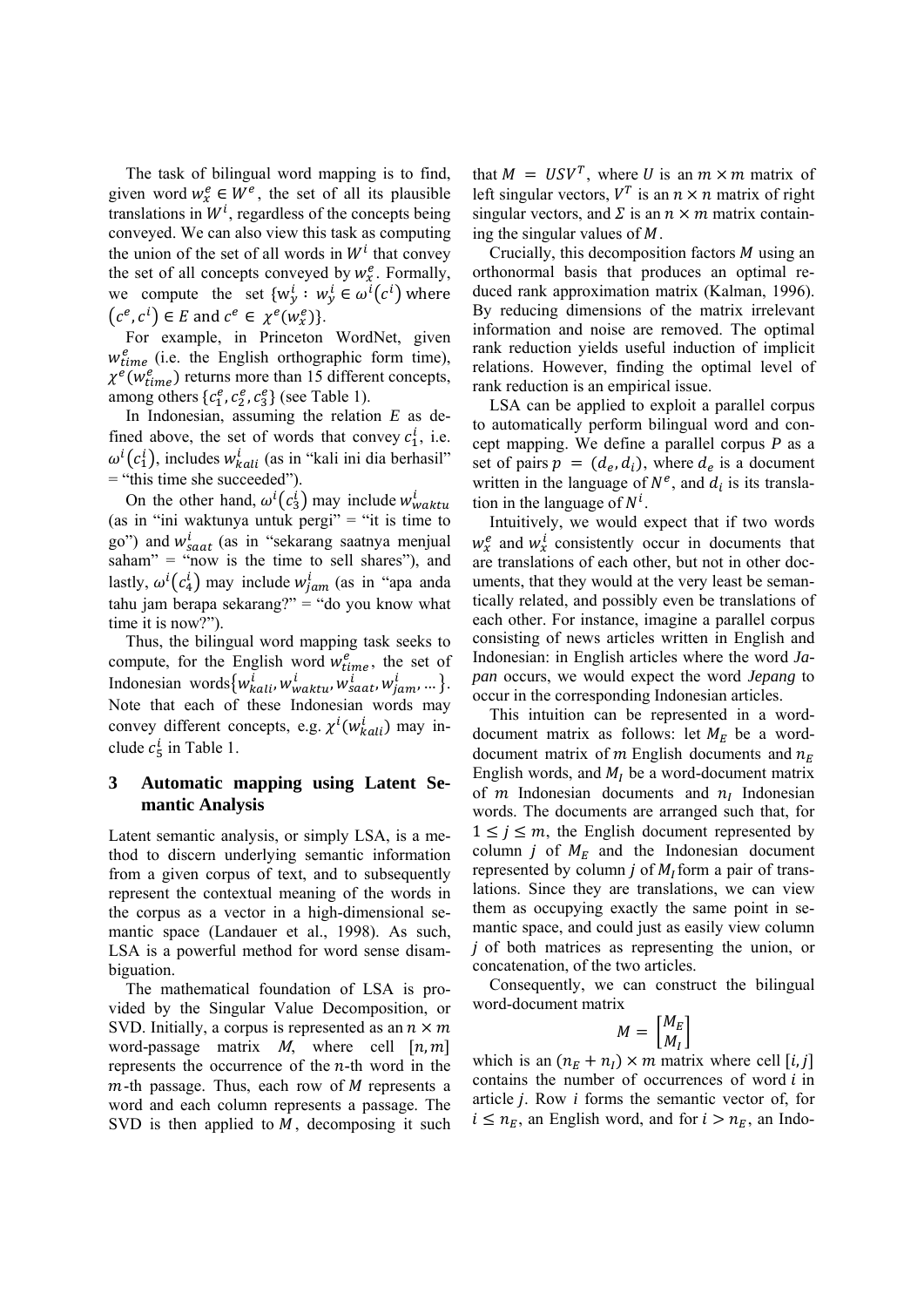The task of bilingual word mapping is to find, given word  $w_x^e \in W^e$ , the set of all its plausible translations in  $W^i$ , regardless of the concepts being conveyed. We can also view this task as computing the union of the set of all words in  $W<sup>i</sup>$  that convey the set of all concepts conveyed by  $w_x^e$ . Formally, we compute the set  $\{w_y^i : w_y^i \in \omega^i(c^i) \}$  where  $(c^e, c^i) \in E$  and  $c^e \in \chi^e(w_x^e)$ .

For example, in Princeton WordNet, given  $w_{time}^{e}$  (i.e. the English orthographic form time),  $\chi^e(w_{time}^e)$  returns more than 15 different concepts, among others  $\{c_1^e, c_2^e, c_3^e\}$  (see Table 1).

In Indonesian, assuming the relation *E* as defined above, the set of words that convey  $c_1^i$ , i.e.  $\omega^{i}(c_1^i)$ , includes  $w_{kali}^i$  (as in "kali ini dia berhasil" = "this time she succeeded").

On the other hand,  $\omega^i(c_3^i)$  may include  $w_{waktu}^i$ (as in "ini waktunya untuk pergi"  $=$  "it is time to go") and  $w_{saat}^{i}$  (as in "sekarang saatnya menjual  $sahan'' = "now is the time to sell shares"), and$ lastly,  $\omega^{i}(c_4^i)$  may include  $w_{jam}^i$  (as in "apa anda tahu jam berapa sekarang?" = "do you know what time it is now?").

Thus, the bilingual word mapping task seeks to compute, for the English word  $w_{time}^e$ , the set of Indonesian words  $\{w_{kali}^i, w_{waktu}^i, w_{saat}^i, w_{jam}^i, ...\}$ . Note that each of these Indonesian words may convey different concepts, e.g.  $\chi^i(w_{kali}^i)$  may include  $c_5^i$  in Table 1.

# **3 Automatic mapping using Latent Semantic Analysis**

Latent semantic analysis, or simply LSA, is a method to discern underlying semantic information from a given corpus of text, and to subsequently represent the contextual meaning of the words in the corpus as a vector in a high-dimensional semantic space (Landauer et al., 1998). As such, LSA is a powerful method for word sense disambiguation.

The mathematical foundation of LSA is provided by the Singular Value Decomposition, or SVD. Initially, a corpus is represented as an  $n \times m$ word-passage matrix  $M$ , where cell  $[n, m]$ represents the occurrence of the  $n$ -th word in the  $m$ -th passage. Thus, each row of  $M$  represents a word and each column represents a passage. The SVD is then applied to  $M$ , decomposing it such

that  $M = USV<sup>T</sup>$ , where U is an  $m \times m$  matrix of left singular vectors,  $V^T$  is an  $n \times n$  matrix of right singular vectors, and  $\Sigma$  is an  $n \times m$  matrix containing the singular values of  $M$ .

Crucially, this decomposition factors  $M$  using an orthonormal basis that produces an optimal reduced rank approximation matrix (Kalman, 1996). By reducing dimensions of the matrix irrelevant information and noise are removed. The optimal rank reduction yields useful induction of implicit relations. However, finding the optimal level of rank reduction is an empirical issue.

LSA can be applied to exploit a parallel corpus to automatically perform bilingual word and concept mapping. We define a parallel corpus *P* as a set of pairs  $p = (d_e, d_i)$ , where  $d_e$  is a document written in the language of  $N^e$ , and  $d_i$  is its translation in the language of  $N^i$ .

Intuitively, we would expect that if two words  $w_x^e$  and  $w_x^i$  consistently occur in documents that are translations of each other, but not in other documents, that they would at the very least be semantically related, and possibly even be translations of each other. For instance, imagine a parallel corpus consisting of news articles written in English and Indonesian: in English articles where the word *Japan* occurs, we would expect the word *Jepang* to occur in the corresponding Indonesian articles.

This intuition can be represented in a worddocument matrix as follows: let  $M_E$  be a worddocument matrix of  $m$  English documents and  $n_E$ English words, and  $M_l$  be a word-document matrix of  $m$  Indonesian documents and  $n<sub>l</sub>$  Indonesian words. The documents are arranged such that, for  $1 \le j \le m$ , the English document represented by column  $j$  of  $M_E$  and the Indonesian document represented by column *j* of  $M_t$  form a pair of translations. Since they are translations, we can view them as occupying exactly the same point in semantic space, and could just as easily view column ݆ of both matrices as representing the union, or concatenation, of the two articles.

Consequently, we can construct the bilingual word-document matrix

$$
M = \begin{bmatrix} M_E \\ M_I \end{bmatrix}
$$

which is an  $(n_F + n_I) \times m$  matrix where cell  $[i, j]$ contains the number of occurrences of word  $i$  in article  $j$ . Row  $i$  forms the semantic vector of, for  $i \leq n_E$ , an English word, and for  $i > n_E$ , an Indo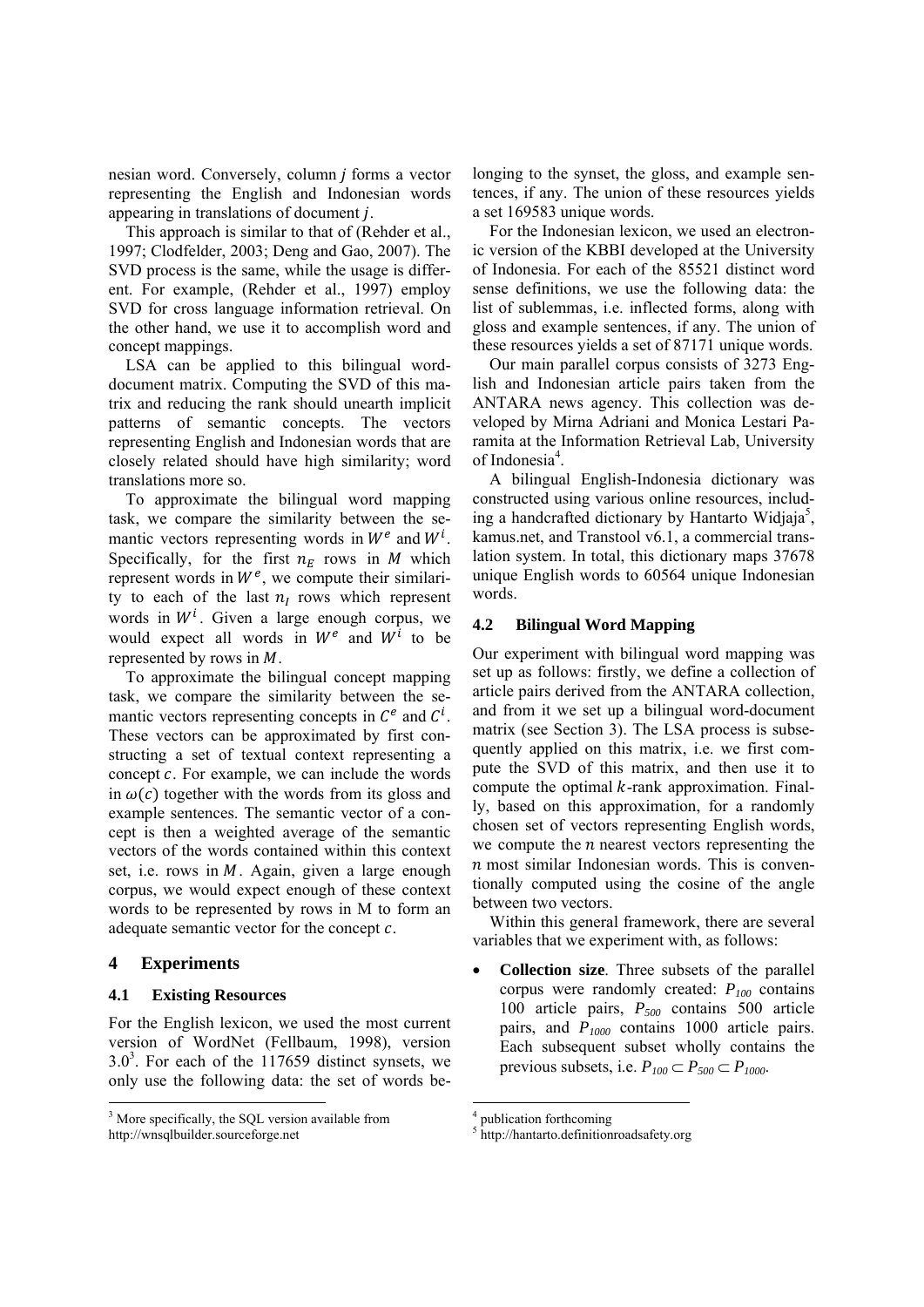nesian word. Conversely, column  $j$  forms a vector representing the English and Indonesian words appearing in translations of document *j*.

This approach is similar to that of (Rehder et al., 1997; Clodfelder, 2003; Deng and Gao, 2007). The SVD process is the same, while the usage is different. For example, (Rehder et al., 1997) employ SVD for cross language information retrieval. On the other hand, we use it to accomplish word and concept mappings.

LSA can be applied to this bilingual worddocument matrix. Computing the SVD of this matrix and reducing the rank should unearth implicit patterns of semantic concepts. The vectors representing English and Indonesian words that are closely related should have high similarity; word translations more so.

To approximate the bilingual word mapping task, we compare the similarity between the semantic vectors representing words in  $W^e$  and  $W^i$ . Specifically, for the first  $n_E$  rows in  $M$  which represent words in  $W<sup>e</sup>$ , we compute their similarity to each of the last  $n_l$  rows which represent words in  $W<sup>i</sup>$ . Given a large enough corpus, we would expect all words in  $W^e$  and  $W^i$  to be represented by rows in  $M$ .

To approximate the bilingual concept mapping task, we compare the similarity between the semantic vectors representing concepts in  $\mathcal{C}^e$  and  $\mathcal{C}^i$ . These vectors can be approximated by first constructing a set of textual context representing a concept  $c$ . For example, we can include the words in  $\omega(c)$  together with the words from its gloss and example sentences. The semantic vector of a concept is then a weighted average of the semantic vectors of the words contained within this context set, i.e. rows in  $M$ . Again, given a large enough corpus, we would expect enough of these context words to be represented by rows in M to form an adequate semantic vector for the concept  $c$ .

# **4 Experiments**

### **4.1 Existing Resources**

For the English lexicon, we used the most current version of WordNet (Fellbaum, 1998), version  $3.0<sup>3</sup>$ . For each of the 117659 distinct synsets, we only use the following data: the set of words belonging to the synset, the gloss, and example sentences, if any. The union of these resources yields a set 169583 unique words.

For the Indonesian lexicon, we used an electronic version of the KBBI developed at the University of Indonesia. For each of the 85521 distinct word sense definitions, we use the following data: the list of sublemmas, i.e. inflected forms, along with gloss and example sentences, if any. The union of these resources yields a set of 87171 unique words.

Our main parallel corpus consists of 3273 English and Indonesian article pairs taken from the ANTARA news agency. This collection was developed by Mirna Adriani and Monica Lestari Paramita at the Information Retrieval Lab, University of Indonesia<sup>4</sup>.

A bilingual English-Indonesia dictionary was constructed using various online resources, including a handcrafted dictionary by Hantarto Widjaja<sup>5</sup>, kamus.net, and Transtool v6.1, a commercial translation system. In total, this dictionary maps 37678 unique English words to 60564 unique Indonesian words.

# **4.2 Bilingual Word Mapping**

Our experiment with bilingual word mapping was set up as follows: firstly, we define a collection of article pairs derived from the ANTARA collection, and from it we set up a bilingual word-document matrix (see Section 3). The LSA process is subsequently applied on this matrix, i.e. we first compute the SVD of this matrix, and then use it to compute the optimal  $k$ -rank approximation. Finally, based on this approximation, for a randomly chosen set of vectors representing English words, we compute the  $n$  nearest vectors representing the  $n$  most similar Indonesian words. This is conventionally computed using the cosine of the angle between two vectors.

Within this general framework, there are several variables that we experiment with, as follows:

• **Collection size**. Three subsets of the parallel corpus were randomly created: *P100* contains 100 article pairs, *P500* contains 500 article pairs, and *P1000* contains 1000 article pairs. Each subsequent subset wholly contains the previous subsets, i.e.  $P_{100} \subset P_{500} \subset P_{1000}$ .

<sup>&</sup>lt;sup>3</sup> More specifically, the SQL version available from http://wnsqlbuilder.sourceforge.net

<sup>4</sup> publication forthcoming

<sup>5</sup> http://hantarto.definitionroadsafety.org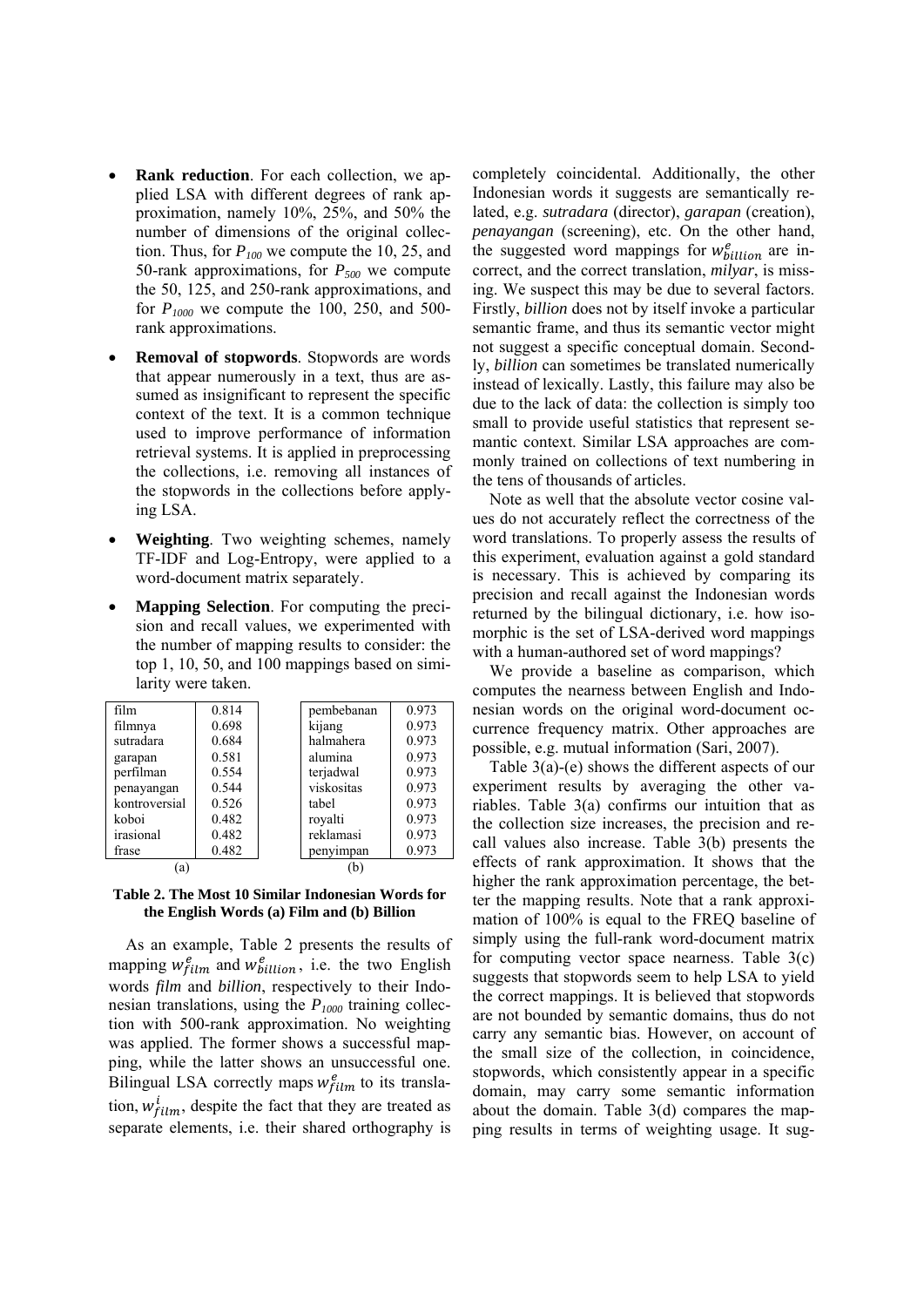- **Rank reduction**. For each collection, we applied LSA with different degrees of rank approximation, namely 10%, 25%, and 50% the number of dimensions of the original collection. Thus, for  $P_{100}$  we compute the 10, 25, and 50-rank approximations, for *P500* we compute the 50, 125, and 250-rank approximations, and for *P1000* we compute the 100, 250, and 500 rank approximations.
- **Removal of stopwords**. Stopwords are words that appear numerously in a text, thus are assumed as insignificant to represent the specific context of the text. It is a common technique used to improve performance of information retrieval systems. It is applied in preprocessing the collections, i.e. removing all instances of the stopwords in the collections before applying LSA.
- **Weighting**. Two weighting schemes, namely TF-IDF and Log-Entropy, were applied to a word-document matrix separately.
- **Mapping Selection**. For computing the precision and recall values, we experimented with the number of mapping results to consider: the top 1, 10, 50, and 100 mappings based on similarity were taken.

| film          | 0.814 | pembebanan | 0.973 |
|---------------|-------|------------|-------|
| filmnya       | 0.698 | kijang     | 0.973 |
| sutradara     | 0.684 | halmahera  | 0.973 |
| garapan       | 0.581 | alumina    | 0.973 |
| perfilman     | 0.554 | terjadwal  | 0.973 |
| penayangan    | 0.544 | viskositas | 0.973 |
| kontroversial | 0.526 | tabel      | 0.973 |
| koboi         | 0.482 | royalti    | 0.973 |
| irasional     | 0.482 | reklamasi  | 0.973 |
| frase         | 0.482 | penyimpan  | 0.973 |
| (a)           |       | b          |       |

#### **Table 2. The Most 10 Similar Indonesian Words for the English Words (a) Film and (b) Billion**

As an example, Table 2 presents the results of mapping  $w_{film}^e$  and  $w_{billion}^e$ , i.e. the two English words *film* and *billion*, respectively to their Indonesian translations, using the  $P_{1000}$  training collection with 500-rank approximation. No weighting was applied. The former shows a successful mapping, while the latter shows an unsuccessful one. Bilingual LSA correctly maps  $w_{film}^e$  to its translation,  $w_{film}^{i}$ , despite the fact that they are treated as separate elements, i.e. their shared orthography is

completely coincidental. Additionally, the other Indonesian words it suggests are semantically related, e.g. *sutradara* (director), *garapan* (creation), *penayangan* (screening), etc. On the other hand, the suggested word mappings for  $w_{billion}^e$  are incorrect, and the correct translation, *milyar*, is missing. We suspect this may be due to several factors. Firstly, *billion* does not by itself invoke a particular semantic frame, and thus its semantic vector might not suggest a specific conceptual domain. Secondly, *billion* can sometimes be translated numerically instead of lexically. Lastly, this failure may also be due to the lack of data: the collection is simply too small to provide useful statistics that represent semantic context. Similar LSA approaches are commonly trained on collections of text numbering in the tens of thousands of articles.

Note as well that the absolute vector cosine values do not accurately reflect the correctness of the word translations. To properly assess the results of this experiment, evaluation against a gold standard is necessary. This is achieved by comparing its precision and recall against the Indonesian words returned by the bilingual dictionary, i.e. how isomorphic is the set of LSA-derived word mappings with a human-authored set of word mappings?

We provide a baseline as comparison, which computes the nearness between English and Indonesian words on the original word-document occurrence frequency matrix. Other approaches are possible, e.g. mutual information (Sari, 2007).

Table 3(a)-(e) shows the different aspects of our experiment results by averaging the other variables. Table 3(a) confirms our intuition that as the collection size increases, the precision and recall values also increase. Table 3(b) presents the effects of rank approximation. It shows that the higher the rank approximation percentage, the better the mapping results. Note that a rank approximation of 100% is equal to the FREQ baseline of simply using the full-rank word-document matrix for computing vector space nearness. Table  $3(c)$ suggests that stopwords seem to help LSA to yield the correct mappings. It is believed that stopwords are not bounded by semantic domains, thus do not carry any semantic bias. However, on account of the small size of the collection, in coincidence, stopwords, which consistently appear in a specific domain, may carry some semantic information about the domain. Table 3(d) compares the mapping results in terms of weighting usage. It sug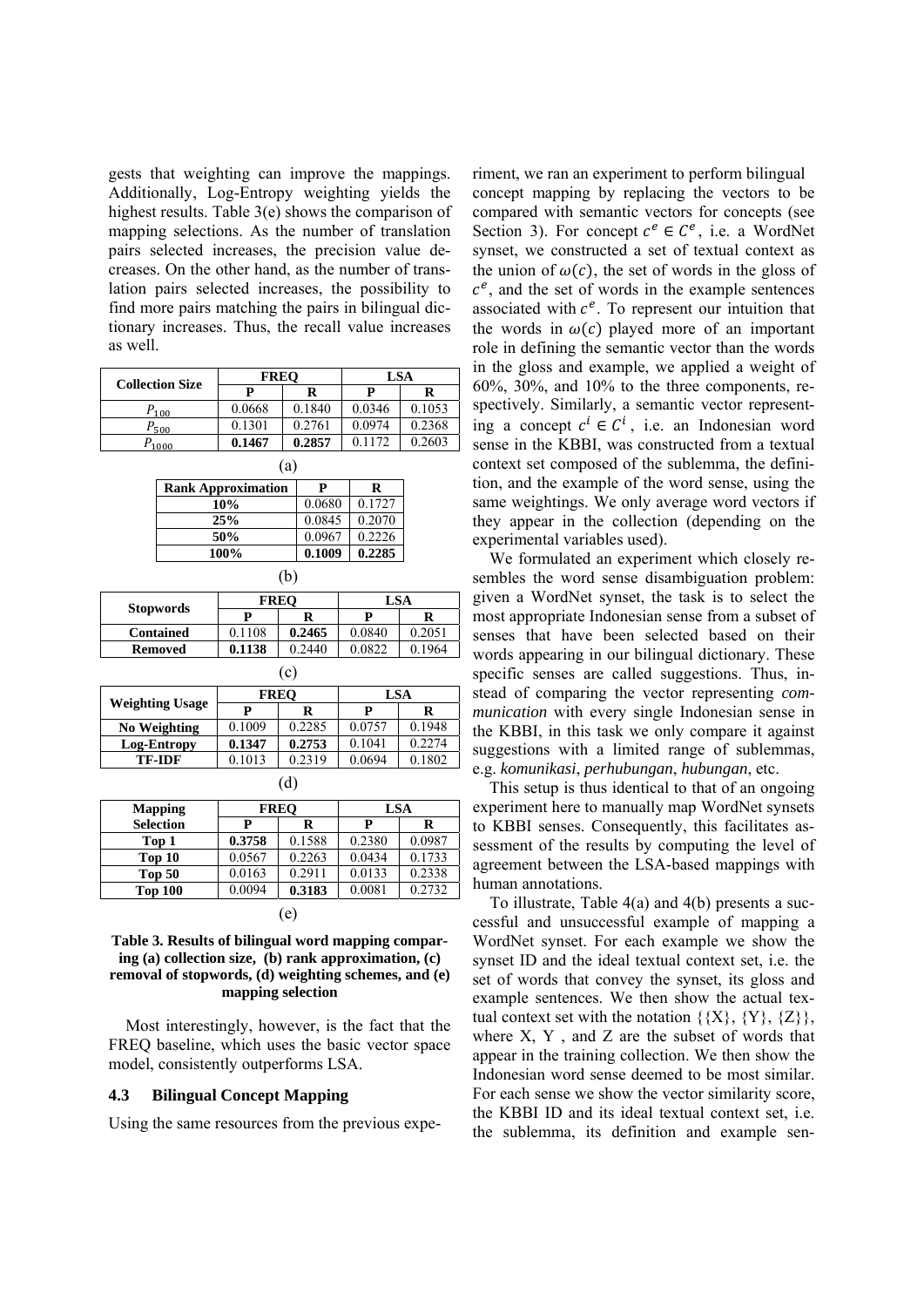gests that weighting can improve the mappings. Additionally, Log-Entropy weighting yields the highest results. Table 3(e) shows the comparison of mapping selections. As the number of translation pairs selected increases, the precision value decreases. On the other hand, as the number of translation pairs selected increases, the possibility to find more pairs matching the pairs in bilingual dictionary increases. Thus, the recall value increases as well.

|                        | <b>FREO</b>               |        | <b>LSA</b> |        |  |  |  |
|------------------------|---------------------------|--------|------------|--------|--|--|--|
| <b>Collection Size</b> | P                         | R      | P          | R      |  |  |  |
| $P_{100}$              | 0.0668                    | 0.1840 | 0.0346     | 0.1053 |  |  |  |
| $P_{500}$              | 0.1301                    | 0.2761 | 0.0974     | 0.2368 |  |  |  |
| $P_{1000}$             | 0.1467                    | 0.2857 | 0.1172     | 0.2603 |  |  |  |
| (a)                    |                           |        |            |        |  |  |  |
|                        | <b>Rank Approximation</b> |        |            |        |  |  |  |
|                        | 10%                       |        |            |        |  |  |  |
| 25%                    | 0.0845                    | 0.2070 |            |        |  |  |  |
|                        | 50%                       |        |            |        |  |  |  |
| 100%                   | 0.1009                    | 0.2285 |            |        |  |  |  |

|                  |        | <b>FREO</b> | LSA    |        |  |  |  |
|------------------|--------|-------------|--------|--------|--|--|--|
| <b>Stopwords</b> |        |             | р      |        |  |  |  |
| <b>Contained</b> | 0.1108 | 0.2465      | 0.0840 | 0.2051 |  |  |  |
| <b>Removed</b>   | 0.1138 | 0.2440      | 0.0822 | 0.1964 |  |  |  |
| l c              |        |             |        |        |  |  |  |

(b)

|                        |        | <b>FREO</b> | <b>LSA</b> |        |  |  |  |
|------------------------|--------|-------------|------------|--------|--|--|--|
| <b>Weighting Usage</b> | р<br>R |             | Р          | R      |  |  |  |
| No Weighting           | 0.1009 | 0.2285      | 0.0757     | 0.1948 |  |  |  |
| Log-Entropy            | 0.1347 | 0.2753      | 0.1041     | 0.2274 |  |  |  |
| TF-IDF                 | 0.1013 | 0.2319      | 0.0694     | 0.1802 |  |  |  |

(d)

| <b>Mapping</b>    |        | <b>FREO</b> | LSA    |        |  |  |
|-------------------|--------|-------------|--------|--------|--|--|
| <b>Selection</b>  | P      | R           |        | R      |  |  |
| Top 1             | 0.3758 | 0.1588      | 0.2380 | 0.0987 |  |  |
| Top 10            | 0.0567 | 0.2263      | 0.0434 | 0.1733 |  |  |
| Top <sub>50</sub> | 0.0163 | 0.2911      | 0.0133 | 0.2338 |  |  |
| <b>Top 100</b>    | 0.0094 | 0.3183      | 0.0081 | 0.2732 |  |  |
| e                 |        |             |        |        |  |  |

# **Table 3. Results of bilingual word mapping comparing (a) collection size, (b) rank approximation, (c) removal of stopwords, (d) weighting schemes, and (e) mapping selection**

Most interestingly, however, is the fact that the FREQ baseline, which uses the basic vector space model, consistently outperforms LSA.

# **4.3 Bilingual Concept Mapping**

Using the same resources from the previous expe-

riment, we ran an experiment to perform bilingual concept mapping by replacing the vectors to be compared with semantic vectors for concepts (see Section 3). For concept  $c^e \in C^e$ , i.e. a WordNet synset, we constructed a set of textual context as the union of  $\omega(\mathfrak{c})$ , the set of words in the gloss of  $c<sup>e</sup>$ , and the set of words in the example sentences associated with  $c^e$ . To represent our intuition that the words in  $\omega(c)$  played more of an important role in defining the semantic vector than the words in the gloss and example, we applied a weight of 60%, 30%, and 10% to the three components, respectively. Similarly, a semantic vector representing a concept  $c^i \in C^i$ , i.e. an Indonesian word sense in the KBBI, was constructed from a textual context set composed of the sublemma, the definition, and the example of the word sense, using the same weightings. We only average word vectors if they appear in the collection (depending on the experimental variables used).

We formulated an experiment which closely resembles the word sense disambiguation problem: given a WordNet synset, the task is to select the most appropriate Indonesian sense from a subset of senses that have been selected based on their words appearing in our bilingual dictionary. These specific senses are called suggestions. Thus, instead of comparing the vector representing *communication* with every single Indonesian sense in the KBBI, in this task we only compare it against suggestions with a limited range of sublemmas, e.g. *komunikasi*, *perhubungan*, *hubungan*, etc.

This setup is thus identical to that of an ongoing experiment here to manually map WordNet synsets to KBBI senses. Consequently, this facilitates assessment of the results by computing the level of agreement between the LSA-based mappings with human annotations.

To illustrate, Table 4(a) and 4(b) presents a successful and unsuccessful example of mapping a WordNet synset. For each example we show the synset ID and the ideal textual context set, i.e. the set of words that convey the synset, its gloss and example sentences. We then show the actual textual context set with the notation  $\{\{X\}, \{Y\}, \{Z\}\},$ where  $X$ ,  $Y$ , and  $Z$  are the subset of words that appear in the training collection. We then show the Indonesian word sense deemed to be most similar. For each sense we show the vector similarity score, the KBBI ID and its ideal textual context set, i.e. the sublemma, its definition and example sen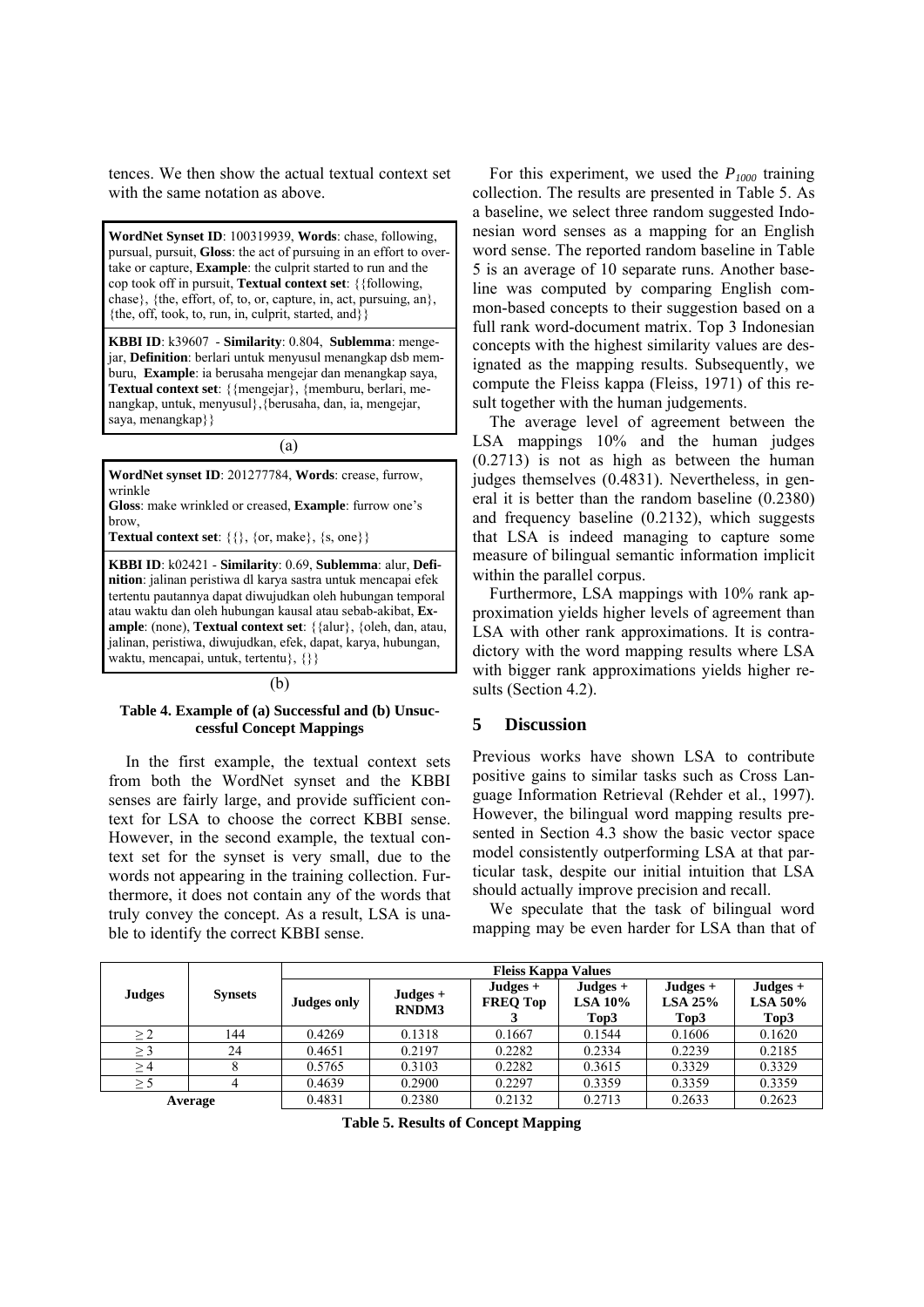tences. We then show the actual textual context set with the same notation as above.

**WordNet Synset ID**: 100319939, **Words**: chase, following, pursual, pursuit, **Gloss**: the act of pursuing in an effort to overtake or capture, **Example**: the culprit started to run and the cop took off in pursuit, **Textual context set**: {{following, chase}, {the, effort, of, to, or, capture, in, act, pursuing, an}, {the, off, took, to, run, in, culprit, started, and}}

**KBBI ID**: k39607 - **Similarity**: 0.804, **Sublemma**: mengejar, **Definition**: berlari untuk menyusul menangkap dsb memburu, **Example**: ia berusaha mengejar dan menangkap saya, **Textual context set**: {{mengejar}, {memburu, berlari, menangkap, untuk, menyusul},{berusaha, dan, ia, mengejar, saya, menangkap}}

(a)

**WordNet synset ID**: 201277784, **Words**: crease, furrow, wrinkle

**Gloss**: make wrinkled or creased, **Example**: furrow one's brow,

**Textual context set**: {{}, {or, make}, {s, one}}

**KBBI ID**: k02421 - **Similarity**: 0.69, **Sublemma**: alur, **Definition**: jalinan peristiwa dl karya sastra untuk mencapai efek tertentu pautannya dapat diwujudkan oleh hubungan temporal atau waktu dan oleh hubungan kausal atau sebab-akibat, **Example**: (none), **Textual context set**: {{alur}, {oleh, dan, atau, jalinan, peristiwa, diwujudkan, efek, dapat, karya, hubungan, waktu, mencapai, untuk, tertentu}, {}}

#### $(h)$

#### **Table 4. Example of (a) Successful and (b) Unsuccessful Concept Mappings**

In the first example, the textual context sets from both the WordNet synset and the KBBI senses are fairly large, and provide sufficient context for LSA to choose the correct KBBI sense. However, in the second example, the textual context set for the synset is very small, due to the words not appearing in the training collection. Furthermore, it does not contain any of the words that truly convey the concept. As a result, LSA is unable to identify the correct KBBI sense.

For this experiment, we used the  $P_{1000}$  training collection. The results are presented in Table 5. As a baseline, we select three random suggested Indonesian word senses as a mapping for an English word sense. The reported random baseline in Table 5 is an average of 10 separate runs. Another baseline was computed by comparing English common-based concepts to their suggestion based on a full rank word-document matrix. Top 3 Indonesian concepts with the highest similarity values are designated as the mapping results. Subsequently, we compute the Fleiss kappa (Fleiss, 1971) of this result together with the human judgements.

The average level of agreement between the LSA mappings 10% and the human judges (0.2713) is not as high as between the human judges themselves (0.4831). Nevertheless, in general it is better than the random baseline (0.2380) and frequency baseline (0.2132), which suggests that LSA is indeed managing to capture some measure of bilingual semantic information implicit within the parallel corpus.

Furthermore, LSA mappings with 10% rank approximation yields higher levels of agreement than LSA with other rank approximations. It is contradictory with the word mapping results where LSA with bigger rank approximations yields higher results (Section 4.2).

# **5 Discussion**

Previous works have shown LSA to contribute positive gains to similar tasks such as Cross Language Information Retrieval (Rehder et al., 1997). However, the bilingual word mapping results presented in Section 4.3 show the basic vector space model consistently outperforming LSA at that particular task, despite our initial intuition that LSA should actually improve precision and recall.

We speculate that the task of bilingual word mapping may be even harder for LSA than that of

|               |                | <b>Fleiss Kappa Values</b> |                            |                               |                                  |                               |                                  |
|---------------|----------------|----------------------------|----------------------------|-------------------------------|----------------------------------|-------------------------------|----------------------------------|
| <b>Judges</b> | <b>Synsets</b> | <b>Judges only</b>         | $Judges +$<br><b>RNDM3</b> | $Judges +$<br><b>FREQ Top</b> | Judges $+$<br>LSA $10\%$<br>Top3 | Judges $+$<br>LSA 25%<br>Top3 | $Judges +$<br>LSA $50\%$<br>Top3 |
| $\geq$ 2      | 144            | 0.4269                     | 0.1318                     | 0.1667                        | 0.1544                           | 0.1606                        | 0.1620                           |
| $\geq$ 3      | 24             | 0.4651                     | 0.2197                     | 0.2282                        | 0.2334                           | 0.2239                        | 0.2185                           |
| $\geq$ 4      |                | 0.5765                     | 0.3103                     | 0.2282                        | 0.3615                           | 0.3329                        | 0.3329                           |
| $\geq$ 5      |                | 0.4639                     | 0.2900                     | 0.2297                        | 0.3359                           | 0.3359                        | 0.3359                           |
| Average       |                | 0.4831                     | 0.2380                     | 0.2132                        | 0.2713                           | 0.2633                        | 0.2623                           |

**Table 5. Results of Concept Mapping**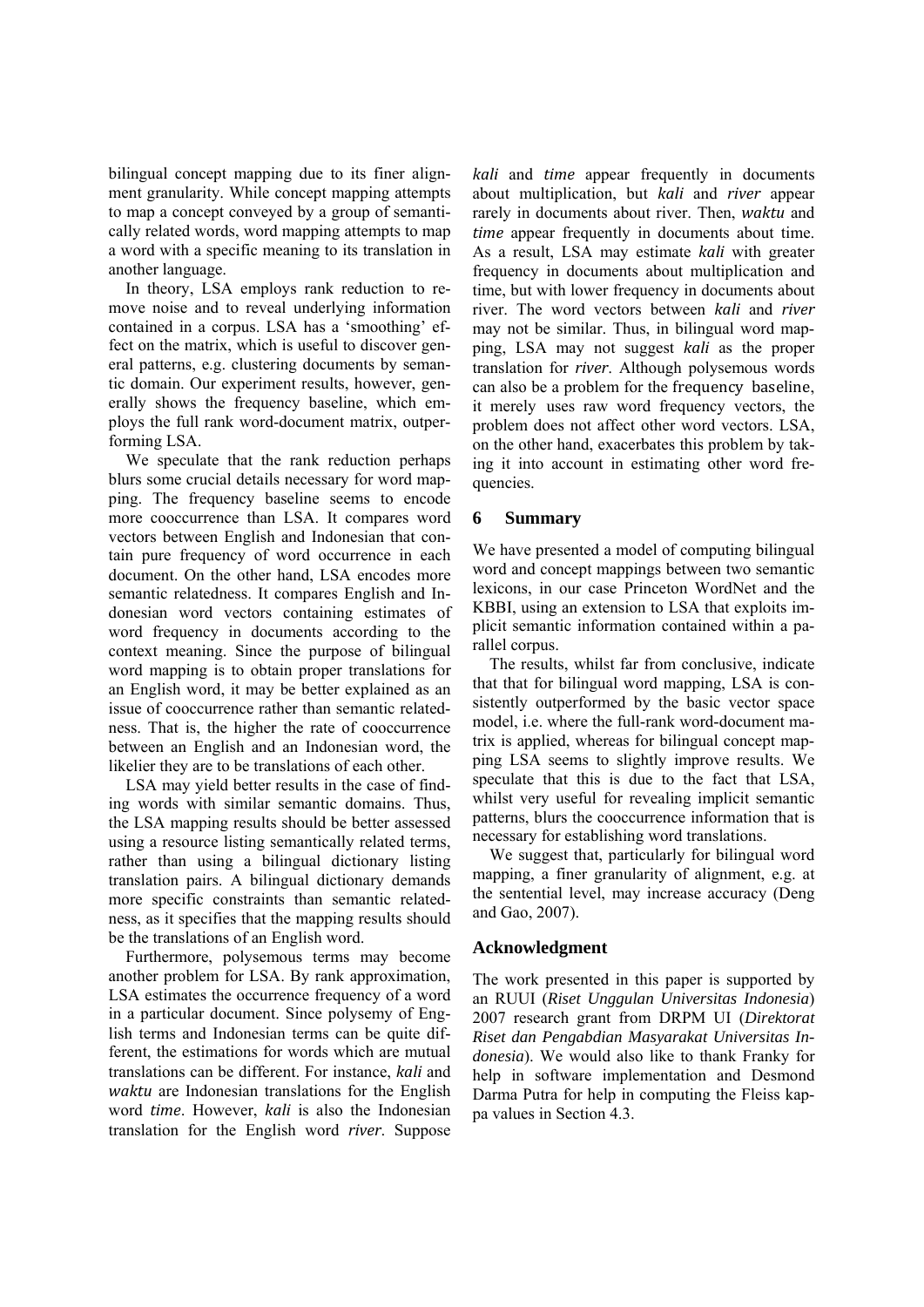bilingual concept mapping due to its finer alignment granularity. While concept mapping attempts to map a concept conveyed by a group of semantically related words, word mapping attempts to map a word with a specific meaning to its translation in another language.

In theory, LSA employs rank reduction to remove noise and to reveal underlying information contained in a corpus. LSA has a 'smoothing' effect on the matrix, which is useful to discover general patterns, e.g. clustering documents by semantic domain. Our experiment results, however, generally shows the frequency baseline, which employs the full rank word-document matrix, outperforming LSA.

We speculate that the rank reduction perhaps blurs some crucial details necessary for word mapping. The frequency baseline seems to encode more cooccurrence than LSA. It compares word vectors between English and Indonesian that contain pure frequency of word occurrence in each document. On the other hand, LSA encodes more semantic relatedness. It compares English and Indonesian word vectors containing estimates of word frequency in documents according to the context meaning. Since the purpose of bilingual word mapping is to obtain proper translations for an English word, it may be better explained as an issue of cooccurrence rather than semantic relatedness. That is, the higher the rate of cooccurrence between an English and an Indonesian word, the likelier they are to be translations of each other.

LSA may yield better results in the case of finding words with similar semantic domains. Thus, the LSA mapping results should be better assessed using a resource listing semantically related terms, rather than using a bilingual dictionary listing translation pairs. A bilingual dictionary demands more specific constraints than semantic relatedness, as it specifies that the mapping results should be the translations of an English word.

Furthermore, polysemous terms may become another problem for LSA. By rank approximation, LSA estimates the occurrence frequency of a word in a particular document. Since polysemy of English terms and Indonesian terms can be quite different, the estimations for words which are mutual translations can be different. For instance, *kali* and *waktu* are Indonesian translations for the English word *time*. However, *kali* is also the Indonesian translation for the English word *river*. Suppose *kali* and *time* appear frequently in documents about multiplication, but *kali* and *river* appear rarely in documents about river. Then, *waktu* and *time* appear frequently in documents about time. As a result, LSA may estimate *kali* with greater frequency in documents about multiplication and time, but with lower frequency in documents about river. The word vectors between *kali* and *river* may not be similar. Thus, in bilingual word mapping, LSA may not suggest *kali* as the proper translation for *river*. Although polysemous words can also be a problem for the frequency baseline, it merely uses raw word frequency vectors, the problem does not affect other word vectors. LSA, on the other hand, exacerbates this problem by taking it into account in estimating other word frequencies.

# **6 Summary**

We have presented a model of computing bilingual word and concept mappings between two semantic lexicons, in our case Princeton WordNet and the KBBI, using an extension to LSA that exploits implicit semantic information contained within a parallel corpus.

The results, whilst far from conclusive, indicate that that for bilingual word mapping, LSA is consistently outperformed by the basic vector space model, i.e. where the full-rank word-document matrix is applied, whereas for bilingual concept mapping LSA seems to slightly improve results. We speculate that this is due to the fact that LSA, whilst very useful for revealing implicit semantic patterns, blurs the cooccurrence information that is necessary for establishing word translations.

We suggest that, particularly for bilingual word mapping, a finer granularity of alignment, e.g. at the sentential level, may increase accuracy (Deng and Gao, 2007).

# **Acknowledgment**

The work presented in this paper is supported by an RUUI (*Riset Unggulan Universitas Indonesia*) 2007 research grant from DRPM UI (*Direktorat Riset dan Pengabdian Masyarakat Universitas Indonesia*). We would also like to thank Franky for help in software implementation and Desmond Darma Putra for help in computing the Fleiss kappa values in Section 4.3.